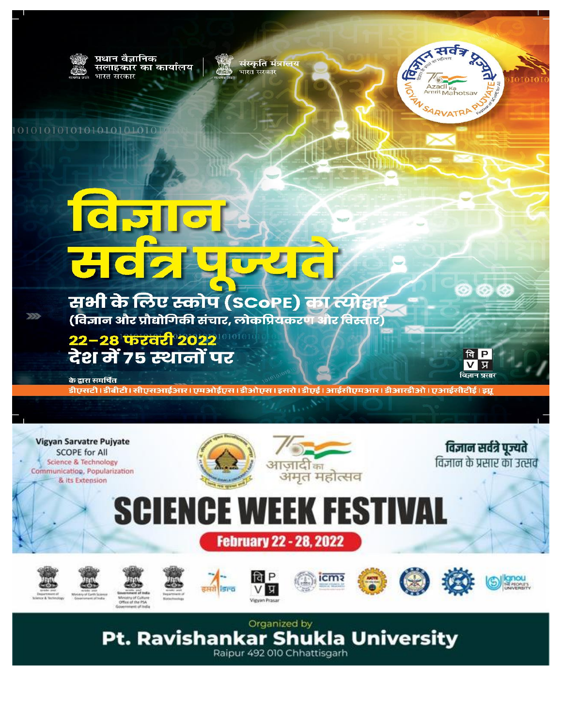

0101010101010101010101

के द्वारा समर्थित

 $\gg$ 

प्रधान वैज्ञानिक सलाहकार का कार्यालय भारत सरकार

संस्कृति मंत्रालय<br>भारत सरकार

## **TCPIIO** संबद्घपुज्यत

सभी के लिए स्कोप (SCoPE) का*र्*योहा (विज्ञान और प्रौद्योगिकी संचार, लोकप्रियकरण और विस्तार)

<mark>22-28 फश्वरी</mark> 2022<br>देश में 75 स्थानों पर



४ सर्वेञ्

Azadi <sub>Ka</sub><br><sup>Amrit</sup> Mahotsa

SARVATRI

डीएसटी | डीबीटी | सीएसआईआर | एमओईएस | डीओएस | इसरो | डीएई | आईसीएमआर | डीआरडीओ | एआईसीटीई | इग्नू



**Pt. Ravishankar Shukla University** Raipur 492 010 Chhattisgarh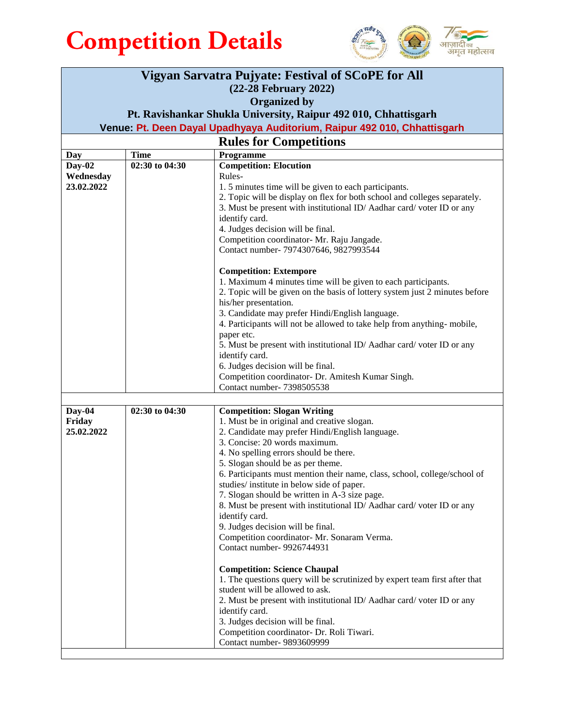



| Vigyan Sarvatra Pujyate: Festival of SCoPE for All                       |                |                                                                                                                       |  |
|--------------------------------------------------------------------------|----------------|-----------------------------------------------------------------------------------------------------------------------|--|
| (22-28 February 2022)                                                    |                |                                                                                                                       |  |
| <b>Organized by</b>                                                      |                |                                                                                                                       |  |
| Pt. Ravishankar Shukla University, Raipur 492 010, Chhattisgarh          |                |                                                                                                                       |  |
| Venue: Pt. Deen Dayal Upadhyaya Auditorium, Raipur 492 010, Chhattisgarh |                |                                                                                                                       |  |
| <b>Rules for Competitions</b>                                            |                |                                                                                                                       |  |
| Day                                                                      | <b>Time</b>    | Programme                                                                                                             |  |
| $Day-02$                                                                 | 02:30 to 04:30 | <b>Competition: Elocution</b>                                                                                         |  |
| Wednesday<br>23.02.2022                                                  |                | Rules-<br>1.5 minutes time will be given to each participants.                                                        |  |
|                                                                          |                | 2. Topic will be display on flex for both school and colleges separately.                                             |  |
|                                                                          |                | 3. Must be present with institutional ID/Aadhar card/voter ID or any                                                  |  |
|                                                                          |                | identify card.                                                                                                        |  |
|                                                                          |                | 4. Judges decision will be final.                                                                                     |  |
|                                                                          |                | Competition coordinator- Mr. Raju Jangade.<br>Contact number- 7974307646, 9827993544                                  |  |
|                                                                          |                |                                                                                                                       |  |
|                                                                          |                | <b>Competition: Extempore</b>                                                                                         |  |
|                                                                          |                | 1. Maximum 4 minutes time will be given to each participants.                                                         |  |
|                                                                          |                | 2. Topic will be given on the basis of lottery system just 2 minutes before                                           |  |
|                                                                          |                | his/her presentation.<br>3. Candidate may prefer Hindi/English language.                                              |  |
|                                                                          |                | 4. Participants will not be allowed to take help from anything-mobile,                                                |  |
|                                                                          |                | paper etc.                                                                                                            |  |
|                                                                          |                | 5. Must be present with institutional ID/Aadhar card/voter ID or any                                                  |  |
|                                                                          |                | identify card.                                                                                                        |  |
|                                                                          |                | 6. Judges decision will be final.<br>Competition coordinator- Dr. Amitesh Kumar Singh.                                |  |
|                                                                          |                | Contact number- 7398505538                                                                                            |  |
|                                                                          |                |                                                                                                                       |  |
| Day-04                                                                   | 02:30 to 04:30 | <b>Competition: Slogan Writing</b>                                                                                    |  |
| Friday                                                                   |                | 1. Must be in original and creative slogan.                                                                           |  |
| 25.02.2022                                                               |                | 2. Candidate may prefer Hindi/English language.<br>3. Concise: 20 words maximum.                                      |  |
|                                                                          |                | 4. No spelling errors should be there.                                                                                |  |
|                                                                          |                | 5. Slogan should be as per theme.                                                                                     |  |
|                                                                          |                | 6. Participants must mention their name, class, school, college/school of                                             |  |
|                                                                          |                | studies/institute in below side of paper.                                                                             |  |
|                                                                          |                | 7. Slogan should be written in A-3 size page.<br>8. Must be present with institutional ID/Aadhar card/voter ID or any |  |
|                                                                          |                | identify card.                                                                                                        |  |
|                                                                          |                | 9. Judges decision will be final.                                                                                     |  |
|                                                                          |                | Competition coordinator- Mr. Sonaram Verma.                                                                           |  |
|                                                                          |                | Contact number- 9926744931                                                                                            |  |
|                                                                          |                | <b>Competition: Science Chaupal</b>                                                                                   |  |
|                                                                          |                | 1. The questions query will be scrutinized by expert team first after that                                            |  |
|                                                                          |                | student will be allowed to ask.                                                                                       |  |
|                                                                          |                | 2. Must be present with institutional ID/Aadhar card/voter ID or any                                                  |  |
|                                                                          |                | identify card.<br>3. Judges decision will be final.                                                                   |  |
|                                                                          |                | Competition coordinator- Dr. Roli Tiwari.                                                                             |  |
|                                                                          |                | Contact number- 9893609999                                                                                            |  |
|                                                                          |                |                                                                                                                       |  |